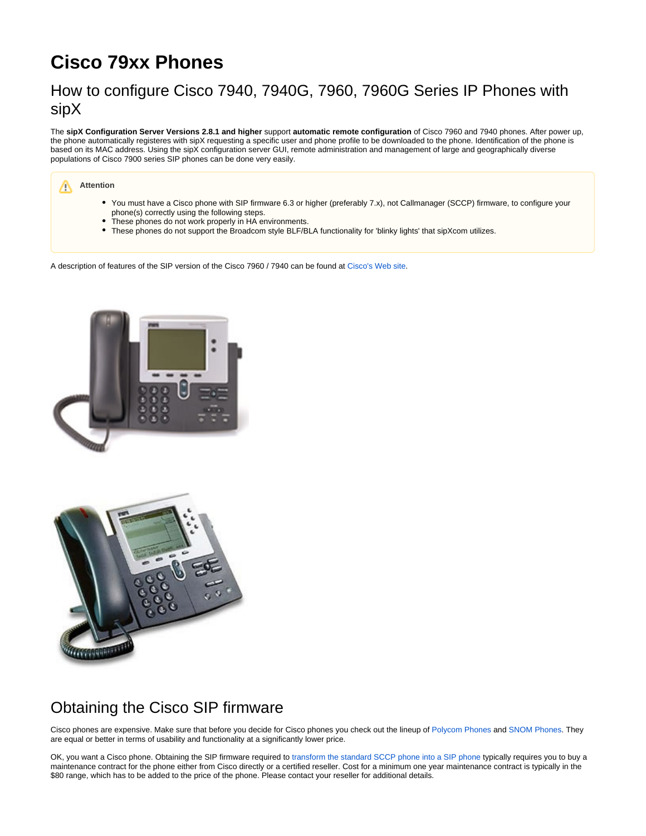# **Cisco 79xx Phones**

## How to configure Cisco 7940, 7940G, 7960, 7960G Series IP Phones with sipX

The **sipX Configuration Server Versions 2.8.1 and higher** support **automatic remote configuration** of Cisco 7960 and 7940 phones. After power up, the phone automatically registeres with sipX requesting a specific user and phone profile to be downloaded to the phone. Identification of the phone is based on its MAC address. Using the sipX configuration server GUI, remote administration and management of large and geographically diverse populations of Cisco 7900 series SIP phones can be done very easily.

#### **Attention** Λ

- You must have a Cisco phone with SIP firmware 6.3 or higher (preferably 7.x), not Callmanager (SCCP) firmware, to configure your phone(s) correctly using the following steps.
- These phones do not work properly in HA environments.
- These phones do not support the Broadcom style BLF/BLA functionality for 'blinky lights' that sipXcom utilizes.

A description of features of the SIP version of the Cisco 7960 / 7940 can be found at [Cisco's Web site.](http://www.cisco.com/en/US/products/hw/phones/ps379/ps1855/index.html)





## Obtaining the Cisco SIP firmware

Cisco phones are expensive. Make sure that before you decide for Cisco phones you check out the lineup of [Polycom Phones](https://wiki.ezuce.com/display/sipXcom/Polycom+Phones) and [SNOM Phones](https://wiki.ezuce.com/display/sipXcom/SNOM+Phones). They are equal or better in terms of usability and functionality at a significantly lower price.

OK, you want a Cisco phone. Obtaining the SIP firmware required to [transform the standard SCCP phone into a SIP phone](http://www.cisco.com/en/US/tech/tk652/tk701/technologies_tech_note09186a0080094584.shtml) typically requires you to buy a maintenance contract for the phone either from Cisco directly or a certified reseller. Cost for a minimum one year maintenance contract is typically in the \$80 range, which has to be added to the price of the phone. Please contact your reseller for additional details.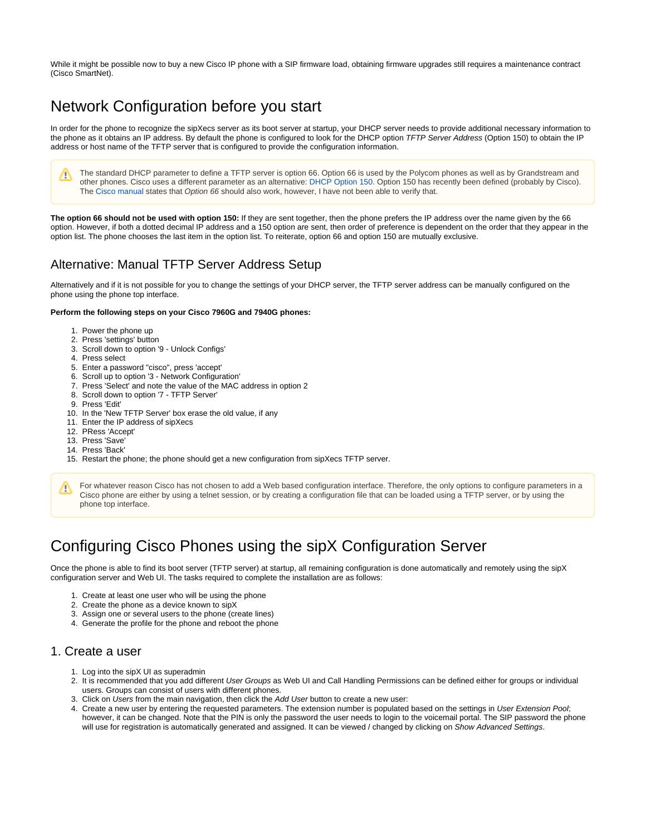While it might be possible now to buy a new Cisco IP phone with a SIP firmware load, obtaining firmware upgrades still requires a maintenance contract (Cisco SmartNet).

## Network Configuration before you start

In order for the phone to recognize the sipXecs server as its boot server at startup, your DHCP server needs to provide additional necessary information to the phone as it obtains an IP address. By default the phone is configured to look for the DHCP option TFTP Server Address (Option 150) to obtain the IP address or host name of the TFTP server that is configured to provide the configuration information.

The standard DHCP parameter to define a TFTP server is option 66. Option 66 is used by the Polycom phones as well as by Grandstream and Λ other phones. Cisco uses a different parameter as an alternative: [DHCP Option 150](http://www.iana.org/assignments/bootp-dhcp-parameters). Option 150 has recently been defined (probably by Cisco). The [Cisco manual](http://www.cisco.com/en/US/products/sw/voicesw/ps556/products_administration_guide_chapter09186a00800c4a27.html#43279) states that Option 66 should also work, however, I have not been able to verify that.

**The option 66 should not be used with option 150:** If they are sent together, then the phone prefers the IP address over the name given by the 66 option. However, if both a dotted decimal IP address and a 150 option are sent, then order of preference is dependent on the order that they appear in the option list. The phone chooses the last item in the option list. To reiterate, option 66 and option 150 are mutually exclusive.

## Alternative: Manual TFTP Server Address Setup

Alternatively and if it is not possible for you to change the settings of your DHCP server, the TFTP server address can be manually configured on the phone using the phone top interface.

#### **Perform the following steps on your Cisco 7960G and 7940G phones:**

- 1. Power the phone up
- 2. Press 'settings' button
- 3. Scroll down to option '9 Unlock Configs'
- 4. Press select
- 5. Enter a password "cisco", press 'accept'
- 6. Scroll up to option '3 Network Configuration'
- 7. Press 'Select' and note the value of the MAC address in option 2
- 8. Scroll down to option '7 TFTP Server'
- 9. Press 'Edit'
- 10. In the 'New TFTP Server' box erase the old value, if any
- 11. Enter the IP address of sipXecs
- 12. PRess 'Accept'
- 13. Press 'Save'
- 14. Press 'Back'
- 15. Restart the phone; the phone should get a new configuration from sipXecs TFTP server.

## Configuring Cisco Phones using the sipX Configuration Server

Once the phone is able to find its boot server (TFTP server) at startup, all remaining configuration is done automatically and remotely using the sipX configuration server and Web UI. The tasks required to complete the installation are as follows:

- 1. Create at least one user who will be using the phone
- 2. Create the phone as a device known to sipX
- 3. Assign one or several users to the phone (create lines)
- 4. Generate the profile for the phone and reboot the phone

### 1. Create a user

- 1. Log into the sipX UI as superadmin
- 2. It is recommended that you add different *User Groups* as Web UI and Call Handling Permissions can be defined either for groups or individual users. Groups can consist of users with different phones.
- 3. Click on Users from the main navigation, then click the Add User button to create a new user:
- 4. Create a new user by entering the requested parameters. The extension number is populated based on the settings in User Extension Pool; however, it can be changed. Note that the PIN is only the password the user needs to login to the voicemail portal. The SIP password the phone will use for registration is automatically generated and assigned. It can be viewed / changed by clicking on Show Advanced Settings.

For whatever reason Cisco has not chosen to add a Web based configuration interface. Therefore, the only options to configure parameters in a Δ Cisco phone are either by using a telnet session, or by creating a configuration file that can be loaded using a TFTP server, or by using the phone top interface.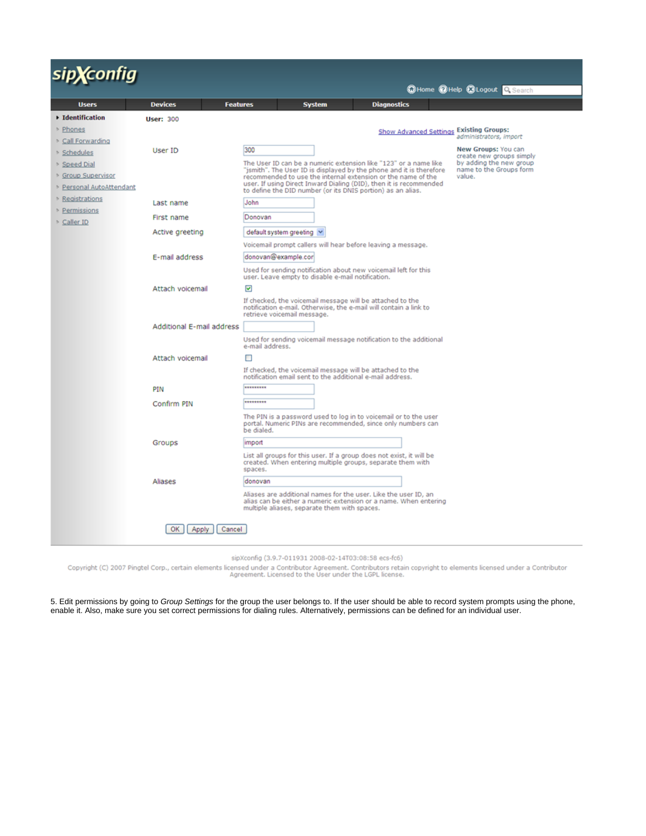# sip**X**config

|                                    |                                   |                                                                                                                                                                                     |               |                                         | Whome County Corporate College                     |  |
|------------------------------------|-----------------------------------|-------------------------------------------------------------------------------------------------------------------------------------------------------------------------------------|---------------|-----------------------------------------|----------------------------------------------------|--|
| <b>Users</b>                       | <b>Devices</b><br><b>Features</b> |                                                                                                                                                                                     | <b>System</b> | <b>Diagnostics</b>                      |                                                    |  |
| ▶ Identification                   | <b>User: 300</b>                  |                                                                                                                                                                                     |               |                                         |                                                    |  |
| ▶ Phones                           |                                   |                                                                                                                                                                                     |               | Show Advanced Settings Existing Groups: |                                                    |  |
| Call Forwarding                    |                                   |                                                                                                                                                                                     |               |                                         | administrators, import                             |  |
| Schedules                          | User ID                           | 300                                                                                                                                                                                 |               |                                         | New Groups: You can<br>create new groups simply    |  |
| Speed Dial                         |                                   | The User ID can be a numeric extension like "123" or a name like<br>"jsmith". The User ID is displayed by the phone and it is therefore                                             |               |                                         | by adding the new group<br>name to the Groups form |  |
| <b>Sroup Supervisor</b>            |                                   | recommended to use the internal extension or the name of the                                                                                                                        |               |                                         | value.                                             |  |
| <b>&gt; Personal AutoAttendant</b> |                                   | user. If using Direct Inward Dialing (DID), then it is recommended<br>to define the DID number (or its DNIS portion) as an alias.                                                   |               |                                         |                                                    |  |
| Registrations                      | Last name                         | John                                                                                                                                                                                |               |                                         |                                                    |  |
| Permissions                        | First name                        | Donovan                                                                                                                                                                             |               |                                         |                                                    |  |
| Caller ID                          | Active greeting                   | default system greeting V                                                                                                                                                           |               |                                         |                                                    |  |
|                                    |                                   | Voicemail prompt callers will hear before leaving a message.                                                                                                                        |               |                                         |                                                    |  |
|                                    | E-mail address                    | donovan@example.cor                                                                                                                                                                 |               |                                         |                                                    |  |
|                                    |                                   | Used for sending notification about new voicemail left for this<br>user. Leave empty to disable e-mail notification.                                                                |               |                                         |                                                    |  |
|                                    | Attach voicemail                  |                                                                                                                                                                                     |               |                                         |                                                    |  |
|                                    |                                   | ☑<br>If checked, the voicemail message will be attached to the<br>notification e-mail. Otherwise, the e-mail will contain a link to<br>retrieve voicemail message.                  |               |                                         |                                                    |  |
|                                    | <b>Additional E-mail address</b>  |                                                                                                                                                                                     |               |                                         |                                                    |  |
|                                    |                                   | Used for sending voicemail message notification to the additional<br>e-mail address.                                                                                                |               |                                         |                                                    |  |
|                                    | Attach voicemail                  | п                                                                                                                                                                                   |               |                                         |                                                    |  |
|                                    |                                   | If checked, the voicemail message will be attached to the<br>notification email sent to the additional e-mail address.                                                              |               |                                         |                                                    |  |
|                                    | PIN                               | *********                                                                                                                                                                           |               |                                         |                                                    |  |
|                                    | Confirm PIN                       | *********                                                                                                                                                                           |               |                                         |                                                    |  |
|                                    |                                   | The PIN is a password used to log in to voicemail or to the user<br>portal. Numeric PINs are recommended, since only numbers can<br>be dialed.                                      |               |                                         |                                                    |  |
|                                    | Groups                            | import                                                                                                                                                                              |               |                                         |                                                    |  |
|                                    |                                   | List all groups for this user. If a group does not exist, it will be<br>created. When entering multiple groups, separate them with<br>spaces.                                       |               |                                         |                                                    |  |
|                                    | Aliases                           | donovan                                                                                                                                                                             |               |                                         |                                                    |  |
|                                    |                                   | Aliases are additional names for the user. Like the user ID, an<br>alias can be either a numeric extension or a name. When entering<br>multiple aliases, separate them with spaces. |               |                                         |                                                    |  |
|                                    | Cancel<br>OK  <br>Apply           |                                                                                                                                                                                     |               |                                         |                                                    |  |
|                                    |                                   |                                                                                                                                                                                     |               |                                         |                                                    |  |

sipXconfig (3.9.7-011931 2008-02-14T03:08:58 ecs-fc6)

Copyright (C) 2007 Pingtel Corp., certain elements licensed under a Contributor Agreement. Contributors retain copyright to elements licensed under a Contributor<br>Agreement. Licensed to the User under the LGPL license.

5. Edit permissions by going to Group Settings for the group the user belongs to. If the user should be able to record system prompts using the phone, enable it. Also, make sure you set correct permissions for dialing rules. Alternatively, permissions can be defined for an individual user.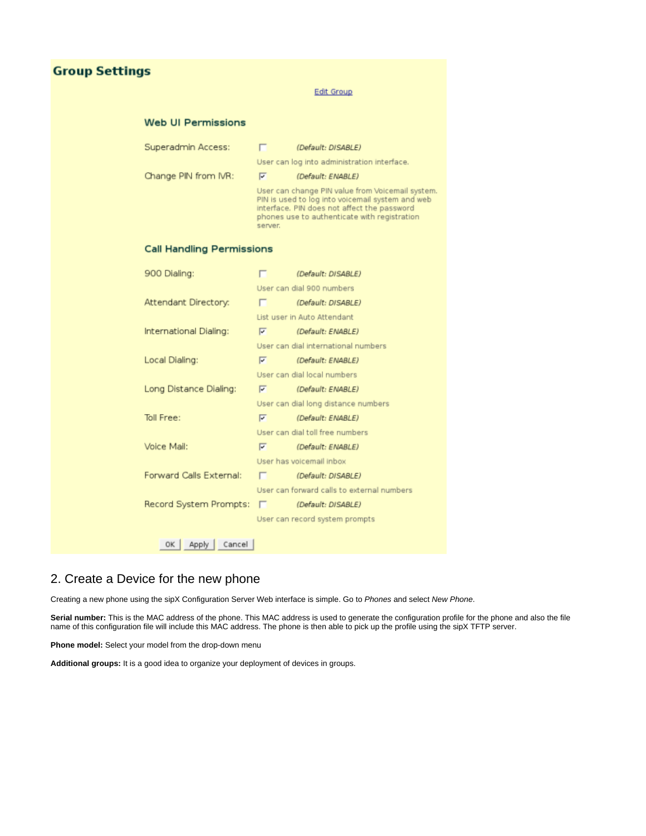## **Group Settings**

#### **Edit Group**

#### **Web UI Permissions**

| Superadmin Access:               |                                                                                                                                                                                                                | (Default: DISABLE)                         |  |  |
|----------------------------------|----------------------------------------------------------------------------------------------------------------------------------------------------------------------------------------------------------------|--------------------------------------------|--|--|
|                                  | User can log into administration interface.                                                                                                                                                                    |                                            |  |  |
| Change PIN from IVR:             | $\overline{\triangledown}$                                                                                                                                                                                     | (Default: ENABLE)                          |  |  |
|                                  | User can change PIN value from Voicemail system.<br>PIN is used to log into voicemail system and web<br>interface. PIN does not affect the password<br>phones use to authenticate with registration<br>server. |                                            |  |  |
| <b>Call Handling Permissions</b> |                                                                                                                                                                                                                |                                            |  |  |
| 900 Dialing:                     |                                                                                                                                                                                                                | (Default: DISABLE)                         |  |  |
|                                  |                                                                                                                                                                                                                | User can dial 900 numbers                  |  |  |
| Attendant Directory:             |                                                                                                                                                                                                                | [Default: DISABLE]                         |  |  |
|                                  | List user in Auto Attendant                                                                                                                                                                                    |                                            |  |  |
| International Dialing:           | $\overline{\mathbf{v}}$                                                                                                                                                                                        | <i>(Default: ENABLE)</i>                   |  |  |
|                                  | User can dial international numbers                                                                                                                                                                            |                                            |  |  |
| Local Dialing:                   | $\overline{\triangledown}$                                                                                                                                                                                     | (Default: ENABLE)                          |  |  |
|                                  |                                                                                                                                                                                                                | User can dial local numbers                |  |  |
| Long Distance Dialing:           | $\overline{\mathbf{v}}$                                                                                                                                                                                        | (Default: ENABLE)                          |  |  |
|                                  |                                                                                                                                                                                                                | User can dial long distance numbers        |  |  |
| Toll Free:                       | $\overline{\triangledown}$                                                                                                                                                                                     | (Default: ENABLE)                          |  |  |
|                                  | User can dial toll free numbers                                                                                                                                                                                |                                            |  |  |
| Voice Mail:                      | $\overline{\mathbf{v}}$                                                                                                                                                                                        | (Default: ENABLE)                          |  |  |
|                                  |                                                                                                                                                                                                                | User has voicemail inbox                   |  |  |
| Forward Calls External:          | $\Box$                                                                                                                                                                                                         | (Default: DISABLE)                         |  |  |
|                                  |                                                                                                                                                                                                                | User can forward calls to external numbers |  |  |
| Record System Prompts:           | г                                                                                                                                                                                                              | (Default: DISABLE)                         |  |  |
|                                  |                                                                                                                                                                                                                | User can record system prompts             |  |  |
|                                  |                                                                                                                                                                                                                |                                            |  |  |
| Cancel<br>OK I<br>Apply          |                                                                                                                                                                                                                |                                            |  |  |

## 2. Create a Device for the new phone

Creating a new phone using the sipX Configuration Server Web interface is simple. Go to Phones and select New Phone.

**Serial number:** This is the MAC address of the phone. This MAC address is used to generate the configuration profile for the phone and also the file name of this configuration file will include this MAC address. The phone is then able to pick up the profile using the sipX TFTP server.

**Phone model:** Select your model from the drop-down menu

**Additional groups:** It is a good idea to organize your deployment of devices in groups.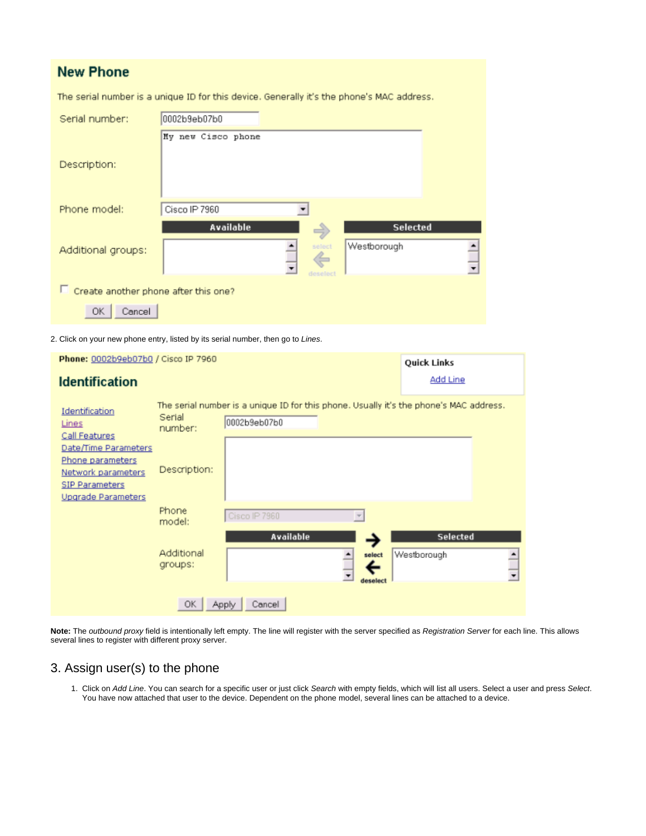## **New Phone**

The serial number is a unique ID for this device. Generally it's the phone's MAC address.

| Serial number:                       | 0002b9eb07b0       |                         |                         |   |  |
|--------------------------------------|--------------------|-------------------------|-------------------------|---|--|
| Description:                         | My new Cisco phone |                         |                         |   |  |
| Phone model:                         | Cisco IP 7960      |                         |                         |   |  |
| Additional groups:                   | Available          | select<br>¢<br>deselect | Selected<br>Westborough | ╗ |  |
| Create another phone after this one? |                    |                         |                         |   |  |
| Cancel<br>0K                         |                    |                         |                         |   |  |

2. Click on your new phone entry, listed by its serial number, then go to Lines.

| Phone: 0002b9eb07b0 / Cisco IP 7960                                                   |                       |                                                                                                        |                         | Quick Links                    |                               |
|---------------------------------------------------------------------------------------|-----------------------|--------------------------------------------------------------------------------------------------------|-------------------------|--------------------------------|-------------------------------|
| <b>Identification</b>                                                                 |                       |                                                                                                        |                         | <b>Add Line</b>                |                               |
| Identification<br>Lines<br>Call Features<br>Date/Time Parameters                      | Serial<br>number:     | The serial number is a unique ID for this phone. Usually it's the phone's MAC address.<br>0002b9eb07b0 |                         |                                |                               |
| Phone parameters<br>Network parameters<br><b>SIP Parameters</b><br>Upgrade Parameters | Description:          |                                                                                                        |                         |                                |                               |
|                                                                                       | Phone<br>model:       | Cisco IP 7960                                                                                          | $\mathbf{v}$            |                                |                               |
|                                                                                       | Additional<br>groups: | <b>Available</b>                                                                                       | select<br>۰<br>deselect | <b>Selected</b><br>Westborough | ≜<br>$\overline{\phantom{a}}$ |
|                                                                                       | OK.                   | Cancel<br>Apply                                                                                        |                         |                                |                               |

**Note:** The outbound proxy field is intentionally left empty. The line will register with the server specified as Registration Server for each line. This allows several lines to register with different proxy server.

## 3. Assign user(s) to the phone

1. Click on Add Line. You can search for a specific user or just click Search with empty fields, which will list all users. Select a user and press Select. You have now attached that user to the device. Dependent on the phone model, several lines can be attached to a device.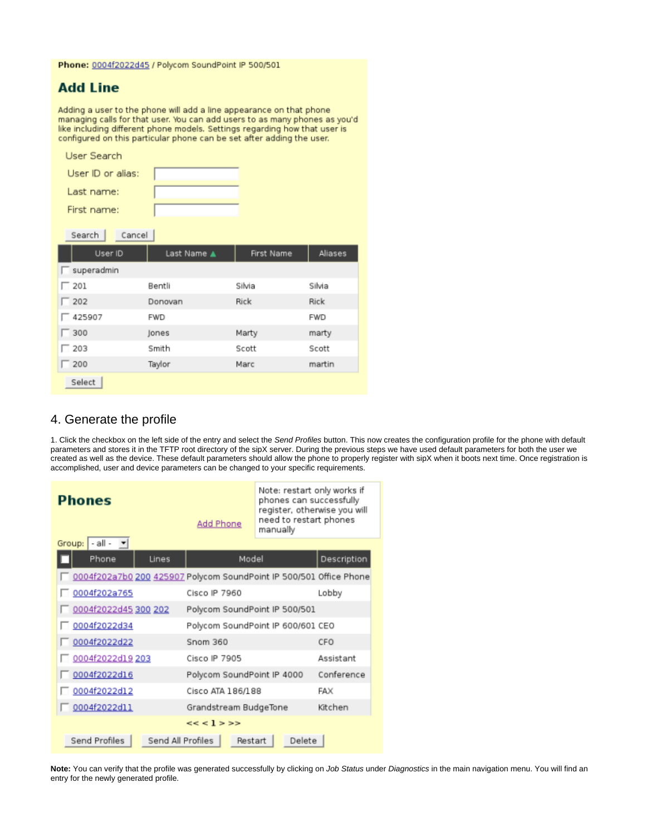#### Phone: 0004f2022d45 / Polycom SoundPoint IP 500/501

## **Add Line**

Adding a user to the phone will add a line appearance on that phone managing calls for that user. You can add users to as many phones as you'd like including different phone models. Settings regarding how that user is configured on this particular phone can be set after adding the user.

| User Search        |             |            |            |
|--------------------|-------------|------------|------------|
| User ID or alias:  |             |            |            |
| Last name:         |             |            |            |
| First name:        |             |            |            |
| Search  <br>Cancel |             |            |            |
| User ID            | Last Name ▲ | First Name | Aliases    |
| superadmin         |             |            |            |
| $\Box$ 201         | Bentli      | Silvia     | Silvia     |
| $\Box$ 202         | Donovan     | Rick       | Rick       |
| $\Box$ 425907      | <b>FWD</b>  |            | <b>FWD</b> |
| $\Box$ 300         | Jones       | Marty      | marty      |
| $\Box$ 203         | Smith       | Scott      | Scott      |
| $\Box$ 200         | Taylor      | Marc       | martin     |
| Select             |             |            |            |

### 4. Generate the profile

1. Click the checkbox on the left side of the entry and select the Send Profiles button. This now creates the configuration profile for the phone with default parameters and stores it in the TFTP root directory of the sipX server. During the previous steps we have used default parameters for both the user we created as well as the device. These default parameters should allow the phone to properly register with sipX when it boots next time. Once registration is accomplished, user and device parameters can be changed to your specific requirements.

| <b>Phones</b>                                                      | <b>Add Phone</b>                  | Note: restart only works if<br>phones can successfully<br>register, otherwise you will<br>need to restart phones<br>manually |             |  |
|--------------------------------------------------------------------|-----------------------------------|------------------------------------------------------------------------------------------------------------------------------|-------------|--|
| $-$ all $ -$<br>Group:                                             |                                   |                                                                                                                              |             |  |
| Phone<br>Lines                                                     | Model                             |                                                                                                                              | Description |  |
| 0004f202a7b0 200 425907 Polycom SoundPoint IP 500/501 Office Phone |                                   |                                                                                                                              |             |  |
| 0004f202a765                                                       | Cisco IP 7960                     |                                                                                                                              | Lobby       |  |
| 0004f2022d45 300 202                                               | Polycom SoundPoint IP 500/501     |                                                                                                                              |             |  |
| 0004f2022d34                                                       | Polycom SoundPoint IP 600/601 CEO |                                                                                                                              |             |  |
| 0004f2022d22                                                       | Snom 360                          |                                                                                                                              | CEO         |  |
| 0004f2022d19 203                                                   | Cisco IP 7905                     |                                                                                                                              | Assistant   |  |
| 0004f2022d16                                                       | Polycom SoundPoint IP 4000        |                                                                                                                              | Conference  |  |
| 0004f2022d12                                                       | Cisco ATA 186/188                 |                                                                                                                              | FAX         |  |
| 0004f2022d11                                                       | Kitchen<br>Grandstream BudgeTone  |                                                                                                                              |             |  |
| << <1>>>                                                           |                                   |                                                                                                                              |             |  |
| Send Profiles<br>Send All Profiles<br>Delete<br>Restart            |                                   |                                                                                                                              |             |  |

Note: You can verify that the profile was generated successfully by clicking on Job Status under Diagnostics in the main navigation menu. You will find an entry for the newly generated profile.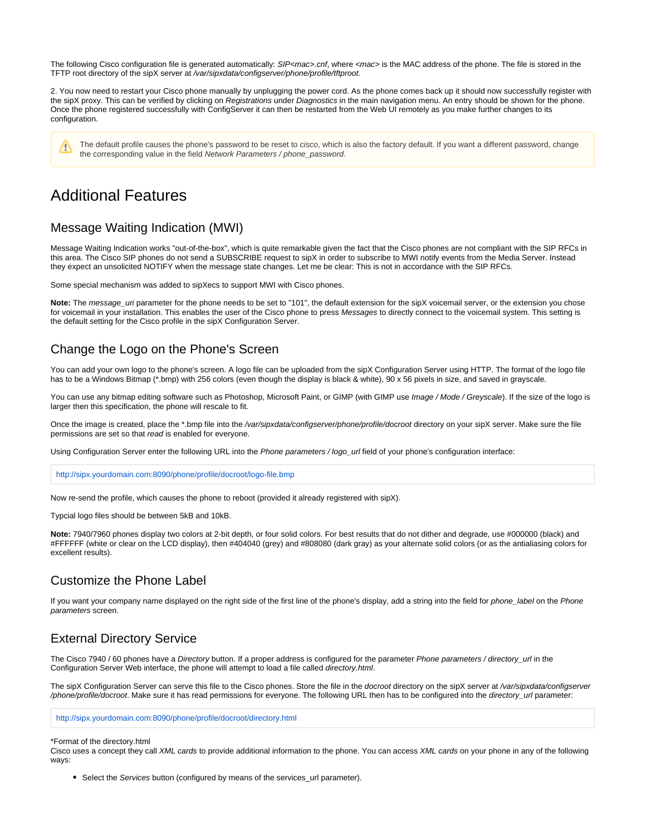The following Cisco configuration file is generated automatically: SIP<mac>.cnf, where <mac> is the MAC address of the phone. The file is stored in the TFTP root directory of the sipX server at /var/sipxdata/configserver/phone/profile/tftproot.

2. You now need to restart your Cisco phone manually by unplugging the power cord. As the phone comes back up it should now successfully register with the sipX proxy. This can be verified by clicking on Registrations under Diagnostics in the main navigation menu. An entry should be shown for the phone. Once the phone registered successfully with ConfigServer it can then be restarted from the Web UI remotely as you make further changes to its configuration.

The default profile causes the phone's password to be reset to cisco, which is also the factory default. If you want a different password, change /\ the corresponding value in the field Network Parameters / phone\_password.

## Additional Features

### Message Waiting Indication (MWI)

Message Waiting Indication works "out-of-the-box", which is quite remarkable given the fact that the Cisco phones are not compliant with the SIP RFCs in this area. The Cisco SIP phones do not send a SUBSCRIBE request to sipX in order to subscribe to MWI notify events from the Media Server. Instead they expect an unsolicited NOTIFY when the message state changes. Let me be clear: This is not in accordance with the SIP RFCs.

Some special mechanism was added to sipXecs to support MWI with Cisco phones.

**Note:** The message\_uri parameter for the phone needs to be set to "101", the default extension for the sipX voicemail server, or the extension you chose for voicemail in your installation. This enables the user of the Cisco phone to press Messages to directly connect to the voicemail system. This setting is the default setting for the Cisco profile in the sipX Configuration Server.

## Change the Logo on the Phone's Screen

You can add your own logo to the phone's screen. A logo file can be uploaded from the sipX Configuration Server using HTTP. The format of the logo file has to be a Windows Bitmap (\*.bmp) with 256 colors (even though the display is black & white), 90 x 56 pixels in size, and saved in grayscale.

You can use any bitmap editing software such as Photoshop, Microsoft Paint, or GIMP (with GIMP use Image / Mode / Greyscale). If the size of the logo is larger then this specification, the phone will rescale to fit.

Once the image is created, place the \*.bmp file into the /var/sipxdata/configserver/phone/profile/docroot directory on your sipX server. Make sure the file permissions are set so that read is enabled for everyone.

Using Configuration Server enter the following URL into the Phone parameters / logo\_url field of your phone's configuration interface:

<http://sipx.yourdomain.com:8090/phone/profile/docroot/logo-file.bmp>

Now re-send the profile, which causes the phone to reboot (provided it already registered with sipX).

Typcial logo files should be between 5kB and 10kB.

**Note:** 7940/7960 phones display two colors at 2-bit depth, or four solid colors. For best results that do not dither and degrade, use #000000 (black) and #FFFFFF (white or clear on the LCD display), then #404040 (grey) and #808080 (dark gray) as your alternate solid colors (or as the antialiasing colors for excellent results).

## Customize the Phone Label

If you want your company name displayed on the right side of the first line of the phone's display, add a string into the field for phone\_label on the Phone parameters screen.

## External Directory Service

The Cisco 7940 / 60 phones have a Directory button. If a proper address is configured for the parameter Phone parameters / directory\_url in the Configuration Server Web interface, the phone will attempt to load a file called directory.html.

The sipX Configuration Server can serve this file to the Cisco phones. Store the file in the docroot directory on the sipX server at /var/sipxdata/configserver /phone/profile/docroot. Make sure it has read permissions for everyone. The following URL then has to be configured into the directory\_url parameter:

<http://sipx.yourdomain.com:8090/phone/profile/docroot/directory.html>

#### \*Format of the directory.html

Cisco uses a concept they call XML cards to provide additional information to the phone. You can access XML cards on your phone in any of the following ways:

• Select the Services button (configured by means of the services url parameter).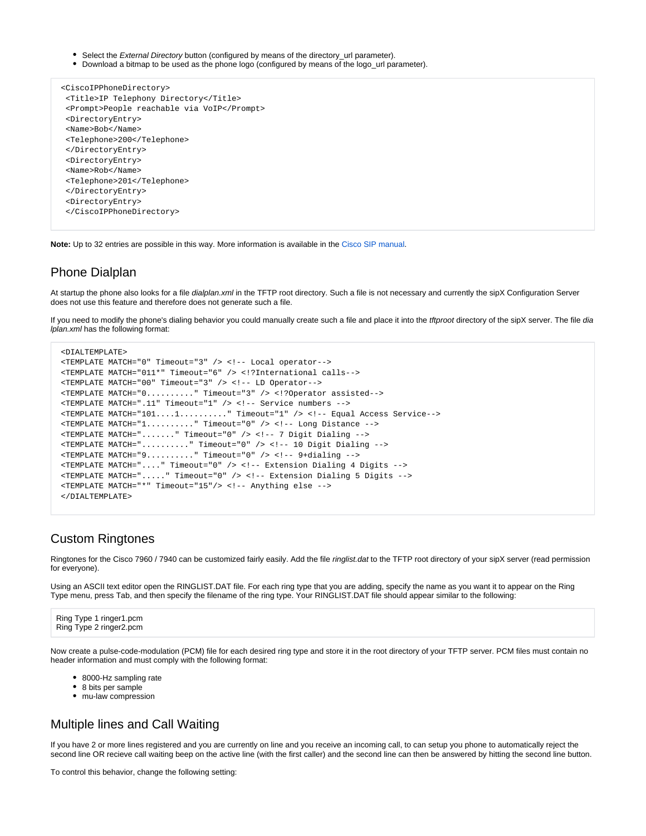Select the *External Directory* button (configured by means of the directory url parameter).

Download a bitmap to be used as the phone logo (configured by means of the logo\_url parameter).

```
 <CiscoIPPhoneDirectory>
 <Title>IP Telephony Directory</Title>
 <Prompt>People reachable via VoIP</Prompt>
 <DirectoryEntry>
 <Name>Bob</Name>
 <Telephone>200</Telephone>
 </DirectoryEntry>
 <DirectoryEntry>
 <Name>Rob</Name>
 <Telephone>201</Telephone>
 </DirectoryEntry>
 <DirectoryEntry>
 </CiscoIPPhoneDirectory>
```
**Note:** Up to 32 entries are possible in this way. More information is available in the [Cisco SIP manual.](http://www.cisco.com/en/US/products/sw/voicesw/ps2156/products_administration_guide_chapter09186a00801d1987.html#wp1178696)

### Phone Dialplan

At startup the phone also looks for a file dialplan.xml in the TFTP root directory. Such a file is not necessary and currently the sipX Configuration Server does not use this feature and therefore does not generate such a file.

If you need to modify the phone's dialing behavior you could manually create such a file and place it into the tftproot directory of the sipX server. The file dia lplan.xml has the following format:

```
 <DIALTEMPLATE>
 <TEMPLATE MATCH="0" Timeout="3" /> <!-- Local operator-->
 <TEMPLATE MATCH="011*" Timeout="6" /> <!?International calls-->
 <TEMPLATE MATCH="00" Timeout="3" /> <!-- LD Operator-->
 <TEMPLATE MATCH="0.........." Timeout="3" /> <!?Operator assisted-->
 <TEMPLATE MATCH=".11" Timeout="1" /> <!-- Service numbers -->
 <TEMPLATE MATCH="101....1.........." Timeout="1" /> <!-- Equal Access Service-->
 <TEMPLATE MATCH="1.........." Timeout="0" /> <!-- Long Distance -->
 <TEMPLATE MATCH="......." Timeout="0" /> <!-- 7 Digit Dialing -->
 <TEMPLATE MATCH=".........." Timeout="0" /> <!-- 10 Digit Dialing -->
 <TEMPLATE MATCH="9.........." Timeout="0" /> <!-- 9+dialing -->
 <TEMPLATE MATCH="...." Timeout="0" /> <!-- Extension Dialing 4 Digits -->
 <TEMPLATE MATCH="....." Timeout="0" /> <!-- Extension Dialing 5 Digits -->
 <TEMPLATE MATCH="*" Timeout="15"/> <!-- Anything else -->
 </DIALTEMPLATE>
```
### Custom Ringtones

Ringtones for the Cisco 7960 / 7940 can be customized fairly easily. Add the file ringlist.dat to the TFTP root directory of your sipX server (read permission for everyone).

Using an ASCII text editor open the RINGLIST.DAT file. For each ring type that you are adding, specify the name as you want it to appear on the Ring Type menu, press Tab, and then specify the filename of the ring type. Your RINGLIST.DAT file should appear similar to the following:

```
Ring Type 1 ringer1.pcm
Ring Type 2 ringer2.pcm
```
Now create a pulse-code-modulation (PCM) file for each desired ring type and store it in the root directory of your TFTP server. PCM files must contain no header information and must comply with the following format:

- 8000-Hz sampling rate
- 8 bits per sample
- mu-law compression

## Multiple lines and Call Waiting

If you have 2 or more lines registered and you are currently on line and you receive an incoming call, to can setup you phone to automatically reject the second line OR recieve call waiting beep on the active line (with the first caller) and the second line can then be answered by hitting the second line button.

To control this behavior, change the following setting: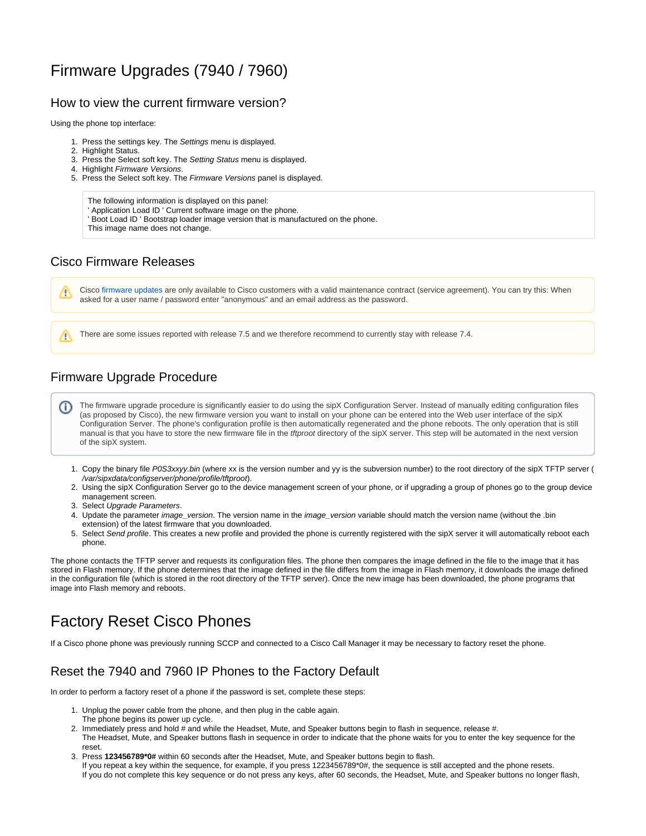## Firmware Upgrades (7940 / 7960)

### How to view the current firmware version?

Using the phone top interface:

- 1. Press the settings key. The Settings menu is displayed.
- 2. Highlight Status.
- 3. Press the Select soft key. The Setting Status menu is displayed.
- 4. Highlight Firmware Versions.
- 5. Press the Select soft key. The Firmware Versions panel is displayed.

The following information is displayed on this panel:

' Application Load ID ' Current software image on the phone.

' Boot Load ID ' Bootstrap loader image version that is manufactured on the phone.

This image name does not change.

## Cisco Firmware Releases

Λ

Λ

Cisco [firmware updates](http://www.cisco.com/pcgi-bin/tablebuild.pl/sip-ip-phone7960) are only available to Cisco customers with a valid maintenance contract (service agreement). You can try this: When asked for a user name / password enter "anonymous" and an email address as the password.

There are some issues reported with release 7.5 and we therefore recommend to currently stay with release 7.4.

## Firmware Upgrade Procedure

The firmware upgrade procedure is significantly easier to do using the sipX Configuration Server. Instead of manually editing configuration files (ï) (as proposed by Cisco), the new firmware version you want to install on your phone can be entered into the Web user interface of the sipX Configuration Server. The phone's configuration profile is then automatically regenerated and the phone reboots. The only operation that is still manual is that you have to store the new firmware file in the tftproot directory of the sipX server. This step will be automated in the next version of the sipX system.

- 1. Copy the binary file P0S3xxyy.bin (where xx is the version number and yy is the subversion number) to the root directory of the sipX TFTP server ( /var/sipxdata/configserver/phone/profile/tftproot).
- 2. Using the sipX Configuration Server go to the device management screen of your phone, or if upgrading a group of phones go to the group device management screen.
- 3. Select Upgrade Parameters.
- 4. Update the parameter *image\_version*. The version name in the *image\_version* variable should match the version name (without the .bin extension) of the latest firmware that you downloaded.
- 5. Select Send profile. This creates a new profile and provided the phone is currently registered with the sipX server it will automatically reboot each phone.

The phone contacts the TFTP server and requests its configuration files. The phone then compares the image defined in the file to the image that it has stored in Flash memory. If the phone determines that the image defined in the file differs from the image in Flash memory, it downloads the image defined in the configuration file (which is stored in the root directory of the TFTP server). Once the new image has been downloaded, the phone programs that image into Flash memory and reboots.

## Factory Reset Cisco Phones

If a Cisco phone phone was previously running SCCP and connected to a Cisco Call Manager it may be necessary to factory reset the phone.

## Reset the 7940 and 7960 IP Phones to the Factory Default

In order to perform a factory reset of a phone if the password is set, complete these steps:

- 1. Unplug the power cable from the phone, and then plug in the cable again.
- The phone begins its power up cycle.
- 2. Immediately press and hold # and while the Headset, Mute, and Speaker buttons begin to flash in sequence, release #. The Headset, Mute, and Speaker buttons flash in sequence in order to indicate that the phone waits for you to enter the key sequence for the reset.
- 3. Press **123456789\*0#** within 60 seconds after the Headset, Mute, and Speaker buttons begin to flash. If you repeat a key within the sequence, for example, if you press 1223456789\*0#, the sequence is still accepted and the phone resets. If you do not complete this key sequence or do not press any keys, after 60 seconds, the Headset, Mute, and Speaker buttons no longer flash,